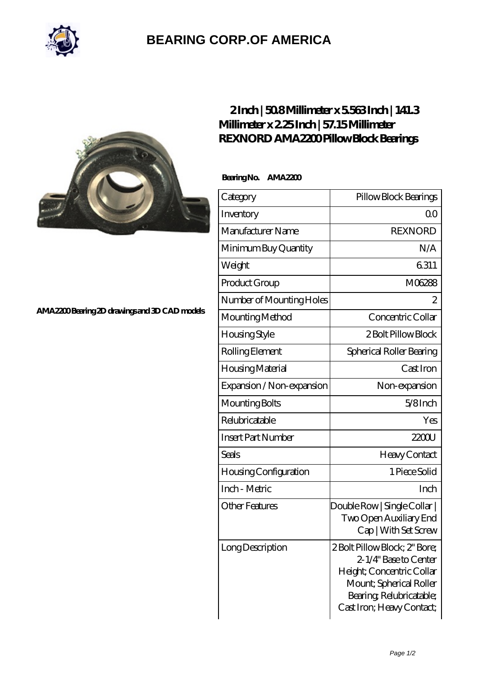

## **[BEARING CORP.OF AMERICA](https://bluemondayreview.com)**



## **[2 Inch | 50.8 Millimeter x 5.563 Inch | 141.3](https://bluemondayreview.com/be-176836-rexnord-ama2200-pillow-block-bearings.html) [Millimeter x 2.25 Inch | 57.15 Millimeter](https://bluemondayreview.com/be-176836-rexnord-ama2200-pillow-block-bearings.html) [REXNORD AMA2200 Pillow Block Bearings](https://bluemondayreview.com/be-176836-rexnord-ama2200-pillow-block-bearings.html)**

 **Bearing No. AMA2200**

| Category                     | Pillow Block Bearings                                                                                                                                                  |
|------------------------------|------------------------------------------------------------------------------------------------------------------------------------------------------------------------|
| Inventory                    | Q0                                                                                                                                                                     |
| Manufacturer Name            | <b>REXNORD</b>                                                                                                                                                         |
| Minimum Buy Quantity         | N/A                                                                                                                                                                    |
| Weight                       | 6311                                                                                                                                                                   |
| Product Group                | M06288                                                                                                                                                                 |
| Number of Mounting Holes     | $\overline{c}$                                                                                                                                                         |
| Mounting Method              | Concentric Collar                                                                                                                                                      |
| Housing Style                | 2 Bolt Pillow Block                                                                                                                                                    |
| Rolling Element              | Spherical Roller Bearing                                                                                                                                               |
| Housing Material             | Cast Iron                                                                                                                                                              |
| Expansion / Non-expansion    | Non-expansion                                                                                                                                                          |
| Mounting Bolts               | $5/8$ Inch                                                                                                                                                             |
| Relubricatable               | Yes                                                                                                                                                                    |
| <b>Insert Part Number</b>    | 2200                                                                                                                                                                   |
| Seals                        | Heavy Contact                                                                                                                                                          |
| <b>Housing Configuration</b> | 1 Piece Solid                                                                                                                                                          |
| Inch - Metric                | Inch                                                                                                                                                                   |
| <b>Other Features</b>        | Double Row   Single Collar  <br>Two Open Auxiliary End<br>Cap   With Set Screw                                                                                         |
| Long Description             | 2 Bolt Pillow Block; 2" Bore;<br>2-1/4" Base to Center<br>Height; Concentric Collar<br>Mount; Spherical Roller<br>Bearing Relubricatable;<br>Cast Iron; Heavy Contact; |

**[AMA2200 Bearing 2D drawings and 3D CAD models](https://bluemondayreview.com/pic-176836.html)**